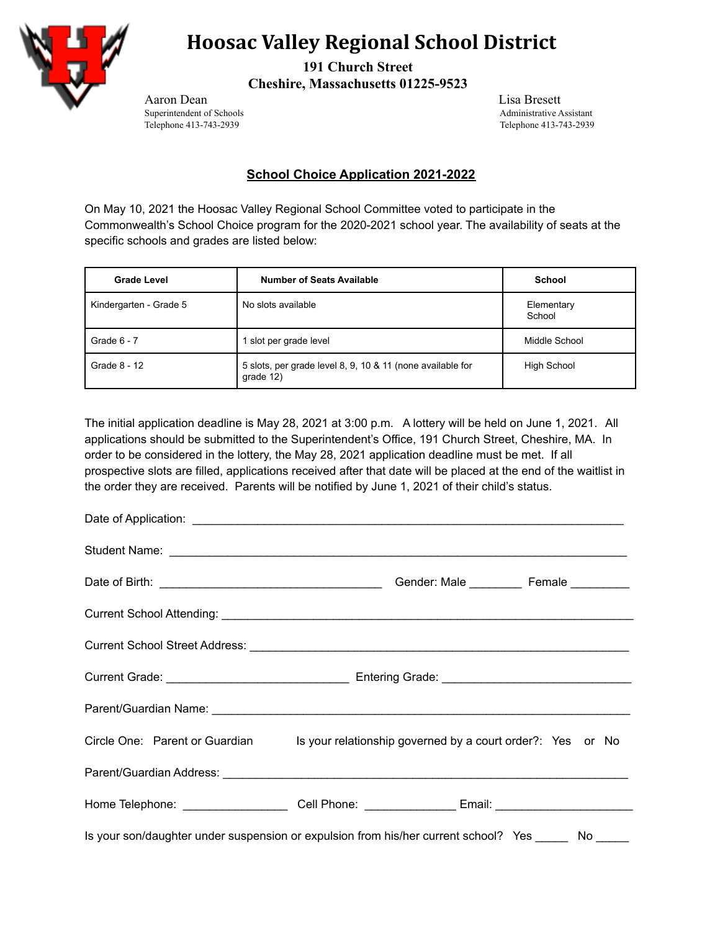

## **Hoosac Valley Regional School District**

**191 Church Street Cheshire, Massachusetts 01225-9523**

Aaron Dean Lisa Bresett Superintendent of Schools<br>
Telephone 413-743-2939<br>
Telephone 413-743-2939<br>
Telephone 413-743-2939

Telephone 413-743-2939

## **School Choice Application 2021-2022**

On May 10, 2021 the Hoosac Valley Regional School Committee voted to participate in the Commonwealth's School Choice program for the 2020-2021 school year. The availability of seats at the specific schools and grades are listed below:

| <b>Grade Level</b>     | <b>Number of Seats Available</b>                                        | School               |
|------------------------|-------------------------------------------------------------------------|----------------------|
| Kindergarten - Grade 5 | No slots available                                                      | Elementary<br>School |
| Grade $6 - 7$          | slot per grade level                                                    | Middle School        |
| Grade 8 - 12           | 5 slots, per grade level 8, 9, 10 & 11 (none available for<br>grade 12) | <b>High School</b>   |

The initial application deadline is May 28, 2021 at 3:00 p.m. A lottery will be held on June 1, 2021. All applications should be submitted to the Superintendent's Office, 191 Church Street, Cheshire, MA. In order to be considered in the lottery, the May 28, 2021 application deadline must be met. If all prospective slots are filled, applications received after that date will be placed at the end of the waitlist in the order they are received. Parents will be notified by June 1, 2021 of their child's status.

| Circle One: Parent or Guardian Is your relationship governed by a court order?: Yes or No            |  |
|------------------------------------------------------------------------------------------------------|--|
|                                                                                                      |  |
| Home Telephone: ________________________Cell Phone: _________________Email: ________________________ |  |
| Is your son/daughter under suspension or expulsion from his/her current school? Yes ______ No _____  |  |